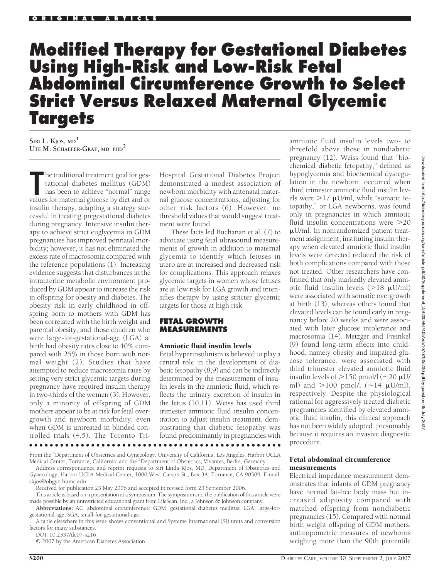# **Modified Therapy for Gestational Diabetes Using High-Risk and Low-Risk Fetal Abdominal Circumference Growth to Select Strict Versus Relaxed Maternal Glycemic Targets**

**SIRI L. KJOS, MD<sup>1</sup> UTE M. SCHAEFER-GRAF, MD, PHD2**

**The traditional treatment goal for gestational diabetes mellitus (GDM)** has been to achieve "normal" range values for maternal glucose by diet and or he traditional treatment goal for gestational diabetes mellitus (GDM) has been to achieve "normal" range insulin therapy, adapting a strategy successful in treating pregestational diabetes during pregnancy. Intensive insulin therapy to achieve strict euglycemia in GDM pregnancies has improved perinatal morbidity; however, it has not eliminated the excess rate of macrosomia compared with the reference populations (1). Increasing evidence suggests that disturbances in the intrauterine metabolic environment produced by GDM appear to increase the risk in offspring for obesity and diabetes. The obesity risk in early childhood in offspring born to mothers with GDM has been correlated with the birth weight and parental obesity, and those children who were large-for-gestational-age (LGA) at birth had obesity rates close to 40% compared with 25% in those born with normal weight (2). Studies that have attempted to reduce macrosomia rates by setting very strict glycemic targets during pregnancy have required insulin therapy in two-thirds of the women (3). However, only a minority of offspring of GDM mothers appear to be at risk for fetal overgrowth and newborn morbidity, even when GDM is untreated in blinded controlled trials (4,5). The Toronto Tri-

Hospital Gestational Diabetes Project demonstrated a modest association of newborn morbidity with antenatal maternal glucose concentrations, adjusting for other risk factors (6). However, no threshold values that would suggest treatment were found.

These facts led Buchanan et al. (7) to advocate using fetal ultrasound measurements of growth in addition to maternal glycemia to identify which fetuses in utero are at increased and decreased risk for complications. This approach relaxes glycemic targets in women whose fetuses are at low risk for LGA growth and intensifies therapy by using stricter glycemic targets for those at high risk.

## **FETAL GROWTH MEASUREMENTS**

#### Amniotic fluid insulin levels

Fetal hyperinsulinism is believed to play a central role in the development of diabetic fetopathy (8,9) and can be indirectly determined by the measurement of insulin levels in the amniotic fluid, which reflects the urinary excretion of insulin in the fetus (10,11). Weiss has used third trimester amniotic fluid insulin concentration to adjust insulin treatment, demonstrating that diabetic fetopathy was found predominantly in pregnancies with

●●●●●●●●●●●●●●●●●●●●●●●●●●●●●●●●●●●●●●●●●●●●●●●●●

From the <sup>1</sup>Department of Obstetrics and Gynecology, University of California, Los Angeles, Harbor UCLA Medical Center, Torrance, California; and the <sup>2</sup>Department of Obstetrics, Vivantes, Berlin, Germany.

Address correspondence and reprint requests to Siri Linda Kjos, MD, Department of Obstetrics and Gynecology, Harbor UCLA Medical Center, 1000 West Carson St., Box 3A, Torrance, CA 90509. E-mail: skjos@obgyn.humc.edu.

Received for publication 23 May 2006 and accepted in revised form 23 September 2006.

This article is based on a presentation at a symposium. The symposium and the publication of this article were made possible by an unrestricted educational grant from LifeScan, Inc., a Johnson & Johnson company.

**Abbreviations:** AC, abdominal circumference; GDM, gestational diabetes mellitus; LGA, large-forgestational-age; SGA, small-for-gestational-age.

A table elsewhere in this issue shows conventional and Système International (SI) units and conversion factors for many substances.

DOI: 10.2337/dc07-s216

© 2007 by the American Diabetes Association.

amniotic fluid insulin levels two- to threefold above those in nondiabetic pregnancy (12). Weiss found that "biochemical diabetic fetopathy," defined as hypoglycemia and biochemical dysregulation in the newborn, occurred when third trimester amniotic fluid insulin levels were >17 µU/ml, while "somatic fetopathy," or LGA newborns, was found only in pregnancies in which amniotic fluid insulin concentrations were >20 -U/ml. In nonrandomized patient treatment assignment, instituting insulin therapy when elevated amniotic fluid insulin levels were detected reduced the risk of both complications compared with those not treated. Other researchers have confirmed that only markedly elevated amniotic fluid insulin levels  $(>18 \mu U/ml)$ were associated with somatic overgrowth at birth (13), whereas others found that elevated levels can be found early in pregnancy before 20 weeks and were associated with later glucose intolerance and macrosomia (14). Metzger and Freinkel (9) found long-term effects into childhood, namely obesity and impaired glucose tolerance, were associated with third trimester elevated amniotic fluid insulin levels of  $>$  150 pmol/l (~20  $\mu$ U/ ml) and  $>$ 100 pmol/l (~14  $\mu$ U/ml), respectively. Despite the physiological rational for aggressively treated diabetic pregnancies identified by elevated amniotic fluid insulin, this clinical approach has not been widely adopted, presumably because it requires an invasive diagnostic procedure.

#### Fetal abdominal circumference measurements

Electrical impedance measurement demonstrates that infants of GDM pregnancy have normal fat-free body mass but increased adiposity compared with matched offspring from nondiabetic pregnancies (15). Compared with normal birth weight offspring of GDM mothers, anthropometric measures of newborns weighing more than the 90th percentile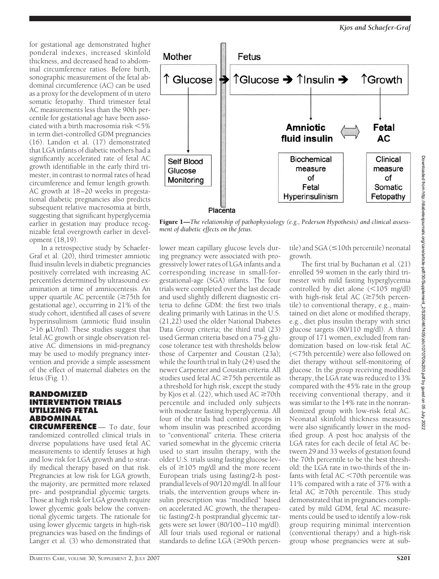for gestational age demonstrated higher ponderal indexes, increased skinfold thickness, and decreased head to abdominal circumference ratios. Before birth, sonographic measurement of the fetal abdominal circumference (AC) can be used as a proxy for the development of in utero somatic fetopathy. Third trimester fetal AC measurements less than the 90th percentile for gestational age have been associated with a birth macrosomia risk  $\leq 5\%$ in term diet-controlled GDM pregnancies (16). Landon et al. (17) demonstrated that LGA infants of diabetic mothers had a significantly accelerated rate of fetal AC growth identifiable in the early third trimester, in contrast to normal rates of head circumference and femur length growth. AC growth at 18–20 weeks in pregestational diabetic pregnancies also predicts subsequent relative macrosomia at birth, suggesting that significant hyperglycemia earlier in gestation may produce recognizable fetal overgrowth earlier in development (18,19).

In a retrospective study by Schaefer-Graf et al. (20), third trimester amniotic fluid insulin levels in diabetic pregnancies positively correlated with increasing AC percentiles determined by ultrasound examination at time of amniocentesis. An upper quartile AC percentile  $(\geq 75$ th for gestational age), occurring in 21% of the study cohort, identified all cases of severe hyperinsulinism (amniotic fluid insulin  $>$ 16 µU/ml). These studies suggest that fetal AC growth or single observation relative AC dimensions in mid-pregnancy may be used to modify pregnancy intervention and provide a simple assessment of the effect of maternal diabetes on the fetus (Fig. 1).

## **RANDOMIZED INTERVENTION TRIALS UTILIZING FETAL ABDOMINAL**

**CIRCUMFERENCE** — To date, four randomized controlled clinical trials in diverse populations have used fetal AC measurements to identify fetuses at high and low risk for LGA growth and to stratify medical therapy based on that risk. Pregnancies at low risk for LGA growth, the majority, are permitted more relaxed pre- and postprandial glycemic targets. Those at high risk for LGA growth require lower glycemic goals below the conventional glycemic targets. The rationale for using lower glycemic targets in high-risk pregnancies was based on the findings of Langer et al. (3) who demonstrated that





Figure 1—*The relationship of pathophysiology (e.g., Pederson Hypothesis) and clinical assessment of diabetic effects on the fetus.*

lower mean capillary glucose levels during pregnancy were associated with progressively lower rates of LGA infants and a corresponding increase in small-forgestational-age (SGA) infants. The four trials were completed over the last decade and used slightly different diagnostic criteria to define GDM: the first two trials dealing primarily with Latinas in the U.S. (21,22) used the older National Diabetes Data Group criteria; the third trial (23) used German criteria based on a 75-g glucose tolerance test with thresholds below those of Carpenter and Coustan (23a); while the fourth trial in Italy (24) used the newer Carpenter and Coustan criteria. All studies used fetal  $AC \ge 75$ th percentile as a threshold for high risk, except the study by Kjos et al. (22), which used AC  $\geq$ 70th percentile and included only subjects with moderate fasting hyperglycemia. All four of the trials had control groups in whom insulin was prescribed according to "conventional" criteria. These criteria varied somewhat in the glycemic criteria used to start insulin therapy, with the older U.S. trials using fasting glucose levels of  $\geq$ 105 mg/dl and the more recent European trials using fasting/2-h postprandial levels of 90/120 mg/dl. In all four trials, the intervention groups where insulin prescription was "modified" based on accelerated AC growth, the therapeutic fasting/2-h postprandial glycemic targets were set lower (80/100–110 mg/dl). All four trials used regional or national standards to define LGA  $(\geq 90$ th percen-

 $\text{tile}$ ) and SGA ( $\leq$ 10th percentile) neonatal growth.

The first trial by Buchanan et al. (21) enrolled 59 women in the early third trimester with mild fasting hyperglycemia controlled by diet alone  $(\leq 105 \text{ mg/dl})$ with high-risk fetal AC  $(\geq 75$ th percentile) to conventional therapy, e.g., maintained on diet alone or modified therapy, e.g., diet plus insulin therapy with strict glucose targets (80/110 mg/dl). A third group of 171 women, excluded from randomization based on low-risk fetal AC (75th percentile) were also followed on diet therapy without self-monitoring of glucose. In the group receiving modified therapy, the LGA rate was reduced to 13% compared with the 45% rate in the group receiving conventional therapy, and it was similar to the 14% rate in the nonrandomized group with low-risk fetal AC. Neonatal skinfold thickness measures were also significantly lower in the modified group. A post hoc analysis of the LGA rates for each decile of fetal AC between 29 and 33 weeks of gestation found the 70th percentile to be the best threshold: the LGA rate in two-thirds of the infants with fetal  $AC < 70$ th percentile was 11% compared with a rate of 37% with a fetal AC  $\geq$ 70th percentile. This study demonstrated that in pregnancies complicated by mild GDM, fetal AC measurements could be used to identify a low-risk group requiring minimal intervention (conventional therapy) and a high-risk group whose pregnancies were at sub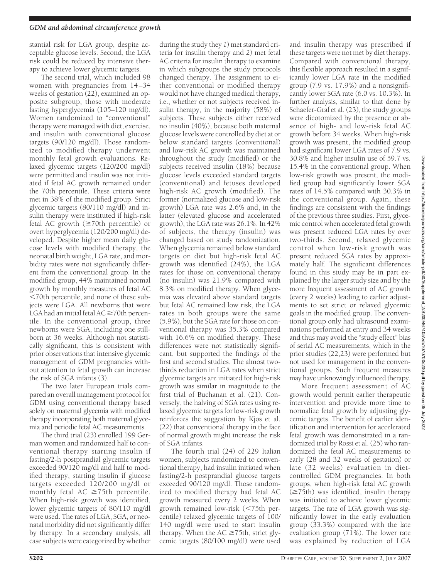stantial risk for LGA group, despite acceptable glucose levels. Second, the LGA risk could be reduced by intensive therapy to achieve lower glycemic targets.

The second trial, which included 98 women with pregnancies from 14–34 weeks of gestation (22), examined an opposite subgroup, those with moderate fasting hyperglycemia (105–120 mg/dl). Women randomized to "conventional" therapy were managed with diet, exercise, and insulin with conventional glucose targets (90/120 mg/dl). Those randomized to modified therapy underwent monthly fetal growth evaluations. Relaxed glycemic targets (120/200 mg/dl) were permitted and insulin was not initiated if fetal AC growth remained under the 70th percentile. These criteria were met in 38% of the modified group. Strict glycemic targets (80/110 mg/dl) and insulin therapy were instituted if high-risk fetal AC growth  $(\geq 70$ th percentile) or overt hyperglycemia (120/200 mg/dl) developed. Despite higher mean daily glucose levels with modified therapy, the neonatal birth weight, LGA rate, and morbidity rates were not significantly different from the conventional group. In the modified group, 44% maintained normal growth by monthly measures of fetal AC 70th percentile, and none of these subjects were LGA. All newborns that were LGA had an initial fetal  $AC \geq 70$ th percentile. In the conventional group, three newborns were SGA, including one stillborn at 36 weeks. Although not statistically significant, this is consistent with prior observations that intensive glycemic management of GDM pregnancies without attention to fetal growth can increase the risk of SGA infants (3).

The two later European trials compared an overall management protocol for GDM using conventional therapy based solely on maternal glycemia with modified therapy incorporating both maternal glycemia and periodic fetal AC measurements.

The third trial (23) enrolled 199 German women and randomized half to conventional therapy starting insulin if fasting/2-h postprandial glycemic targets exceeded 90/120 mg/dl and half to modified therapy, starting insulin if glucose targets exceeded 120/200 mg/dl or monthly fetal AC  $\geq$ 75th percentile. When high-risk growth was identified, lower glycemic targets of 80/110 mg/dl were used. The rates of LGA, SGA, or neonatal morbidity did not significantly differ by therapy. In a secondary analysis, all case subjects were categorized by whether

during the study they *1*) met standard criteria for insulin therapy and *2*) met fetal AC criteria for insulin therapy to examine in which subgroups the study protocols changed therapy. The assignment to either conventional or modified therapy would not have changed medical therapy, i.e., whether or not subjects received insulin therapy, in the majority (58%) of subjects. These subjects either received no insulin (40%), because both maternal glucose levels were controlled by diet at or below standard targets (conventional) and low-risk AC growth was maintained throughout the study (modified) or the subjects received insulin (18%) because glucose levels exceeded standard targets (conventional) and fetuses developed high-risk AC growth (modified). The former (normalized glucose and low-risk growth) LGA rate was 2.6% and, in the latter (elevated glucose and accelerated growth), the LGA rate was 26.1%. In 42% of subjects, the therapy (insulin) was changed based on study randomization. When glycemia remained below standard targets on diet but high-risk fetal AC growth was identified (24%), the LGA rates for those on conventional therapy (no insulin) was 21.9% compared with 8.3% on modified therapy. When glycemia was elevated above standard targets but fetal AC remained low risk, the LGA rates in both groups were the same (5.9%), but the SGA rate for those on conventional therapy was 35.3% compared with 16.6% on modified therapy. These differences were not statistically significant, but supported the findings of the first and second studies. The almost twothirds reduction in LGA rates when strict glycemic targets are initiated for high-risk growth was similar in magnitude to the first trial of Buchanan et al. (21). Conversely, the halving of SGA rates using relaxed glycemic targets for low-risk growth reinforces the suggestion by Kjos et al. (22) that conventional therapy in the face of normal growth might increase the risk of SGA infants.

The fourth trial (24) of 229 Italian women, subjects randomized to conventional therapy, had insulin initiated when fasting/2-h postprandial glucose targets exceeded 90/120 mg/dl. Those randomized to modified therapy had fetal AC growth measured every 2 weeks. When growth remained low-risk (<75th percentile) relaxed glycemic targets of 100/ 140 mg/dl were used to start insulin therapy. When the  $AC \ge 75$ th, strict glycemic targets (80/100 mg/dl) were used

and insulin therapy was prescribed if these targets were not met by diet therapy. Compared with conventional therapy, this flexible approach resulted in a significantly lower LGA rate in the modified group (7.9 vs. 17.9%) and a nonsignificantly lower SGA rate (6.0 vs. 10.3%). In further analysis, similar to that done by Schaefer-Graf et al. (23), the study groups were dicotomized by the presence or absence of high- and low-risk fetal AC growth before 34 weeks. When high-risk growth was present, the modified group had significant lower LGA rates of 7.9 vs. 30.8% and higher insulin use of 59.7 vs. 15.4% in the conventional group. When low-risk growth was present, the modified group had significantly lower SGA rates of 14.5% compared with 30.3% in the conventional group. Again, these findings are consistent with the findings of the previous three studies. First, glycemic control when accelerated fetal growth was present reduced LGA rates by over two-thirds. Second, relaxed glycemic control when low-risk growth was present reduced SGA rates by approximately half. The significant differences found in this study may be in part explained by the larger study size and by the more frequent assessment of AC growth (every 2 weeks) leading to earlier adjustments to set strict or relaxed glycemic goals in the modified group. The conventional group only had ultrasound examinations performed at entry and 34 weeks and thus may avoid the "study effect" bias of serial AC measurements, which in the prior studies (22,23) were performed but not used for management in the conventional groups. Such frequent measures may have unknowingly influenced therapy.

More frequent assessment of AC growth would permit earlier therapeutic intervention and provide more time to normalize fetal growth by adjusting glycemic targets. The benefit of earlier identification and intervention for accelerated fetal growth was demonstrated in a randomized trial by Rossi et al. (25) who randomized the fetal AC measurements to early (28 and 32 weeks of gestation) or late (32 weeks) evaluation in dietcontrolled GDM pregnancies. In both groups, when high-risk fetal AC growth  $(\geq 75$ th) was identified, insulin therapy was initiated to achieve lower glycemic targets. The rate of LGA growth was significantly lower in the early evaluation group (33.3%) compared with the late evaluation group (71%). The lower rate was explained by reduction of LGA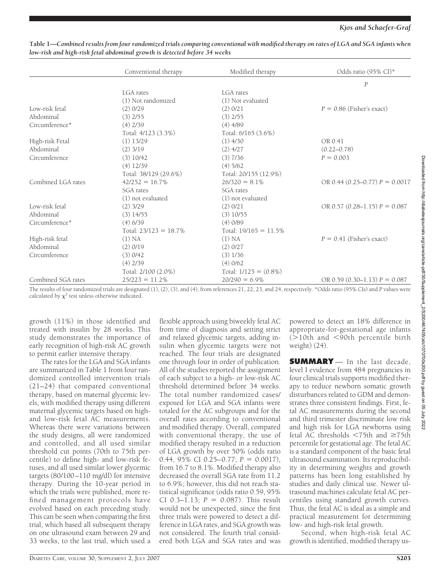|                    | Conventional therapy     | Modified therapy         | Odds ratio (95% CI)*              |
|--------------------|--------------------------|--------------------------|-----------------------------------|
|                    |                          |                          | $\boldsymbol{P}$                  |
|                    | LGA rates                | LGA rates                |                                   |
|                    | (1) Not randomized       | (1) Not evaluated        |                                   |
| Low-risk fetal     | $(2)$ 0/29               | (2) 0/21                 | $P = 0.86$ (Fisher's exact)       |
| Abdominal          | $(3)$ 2/55               | $(3)$ 2/55               |                                   |
| Circumference*     | $(4)$ 2/39               | $(4)$ 4/89               |                                   |
|                    | Total: 4/123 (3.3%)      | Total: 6/165 (3.6%)      |                                   |
| High-risk Fetal    | $(1)$ 13/29              | $(1)$ 4/30               | OR 0.41                           |
| Abdominal          | $(2)$ 3/19               | $(2)$ 4/27               | $(0.22 - 0.78)$                   |
| Circumference      | (3) 10/42                | $(3)$ 7/36               | $P = 0.003$                       |
|                    | $(4)$ 12/39              | $(4)$ 5/62               |                                   |
|                    | Total: 38/129 (29.6%)    | Total: 20/155 (12.9%)    |                                   |
| Combined LGA rates | $42/252 = 16.7\%$        | $26/320 = 8.1\%$         | OR 0.44 (0.25-0.77) $P = 0.0017$  |
|                    | SGA rates                | SGA rates                |                                   |
|                    | (1) not evaluated        | (1) not evaluated        |                                   |
| Low-risk fetal     | $(2)$ 3/29               | (2) 0/21                 | OR 0.57 $(0.28-1.15)$ P = 0.087   |
| Abdominal          | $(3)$ 14/55              | $(3)$ 10/55              |                                   |
| Circumference*     | $(4)$ 6/39               | $(4)$ 0/89               |                                   |
|                    | Total: $23/123 = 18.7\%$ | Total: $19/165 = 11.5\%$ |                                   |
| High-risk fetal    | (1) NA                   | (1) NA                   | $P = 0.41$ (Fisher's exact)       |
| Abdominal          | $(2)$ 0/19               | $(2)$ 0/27               |                                   |
| Circumference      | $(3)$ 0/42               | $(3)$ 1/36               |                                   |
|                    | $(4)$ 2/39               | $(4)$ 0/62               |                                   |
|                    | Total: 2/100 (2.0%)      | Total: $1/125 = (0.8\%)$ |                                   |
| Combined SGA rates | $25/223 = 11.2\%$        | $20/290 = 6.9\%$         | OR 0.59 $(0.30-1.13)$ $P = 0.087$ |

**Table 1—***Combined results from four randomized trials comparing conventional with modified therapy on rates of LGA and SGA infants when low-risk and high-risk fetal abdominal growth is detected before 34 weeks*

The results of four randomized trials are designated (1), (2), (3), and (4), from references 21, 22, 23, and 24, respectively. \*Odds ratio (95% CIs) and *P* values were calculated by  $\chi^2$  test unless otherwise indicated.

growth (11%) in those identified and treated with insulin by 28 weeks. This study demonstrates the importance of early recognition of high-risk AC growth to permit earlier intensive therapy.

The rates for the LGA and SGA infants are summarized in Table 1 from four randomized controlled intervention trials (21–24) that compared conventional therapy, based on maternal glycemic levels, with modified therapy using different maternal glycemic targets based on highand low-risk fetal AC measurements. Whereas there were variations between the study designs, all were randomized and controlled, and all used similar threshold cut points (70th to 75th percentile) to define high- and low-risk fetuses, and all used similar lower glycemic targets (80/100–110 mg/dl) for intensive therapy. During the 10-year period in which the trials were published, more refined management protocols have evolved based on each preceding study. This can be seen when comparing the first trial, which based all subsequent therapy on one ultrasound exam between 29 and 33 weeks, to the last trial, which used a

flexible approach using biweekly fetal AC from time of diagnosis and setting strict and relaxed glycemic targets, adding insulin when glycemic targets were not reached. The four trials are designated one through four in order of publication. All of the studies reported the assignment of each subject to a high- or low-risk AC threshold determined before 34 weeks. The total number randomized cases/ exposed for LGA and SGA infants were totaled for the AC subgroups and for the overall rates according to conventional and modified therapy. Overall, compared with conventional therapy, the use of modified therapy resulted in a reduction of LGA growth by over 50% (odds ratio 0.44, 95% CI 0.25–0.77;  $P = 0.0017$ ), from 16.7 to 8.1%. Modified therapy also decreased the overall SGA rate from 11.2 to 6.9%; however, this did not reach statistical significance (odds ratio 0.59, 95% CI 0.3-1.13;  $P = 0.087$ ). This result would not be unexpected, since the first three trials were powered to detect a difference in LGA rates, and SGA growth was not considered. The fourth trial considered both LGA and SGA rates and was

powered to detect an 18% difference in appropriate-for-gestational age infants  $(>10$ th and  $<$ 90th percentile birth weight) (24).

**SUMMARY** — In the last decade, level I evidence from 484 pregnancies in four clinical trials supports modified therapy to reduce newborn somatic growth disturbances related to GDM and demonstrates three consistent findings. First, fetal AC measurements during the second and third trimester discriminate low risk and high risk for LGA newborns using fetal AC thresholds  $\leq 75$ th and  $\geq 75$ th percentile for gestational age. The fetal AC is a standard component of the basic fetal ultrasound examination. Its reproducibility in determining weights and growth patterns has been long established by studies and daily clinical use. Newer ultrasound machines calculate fetal AC percentiles using standard growth curves. Thus, the fetal AC is ideal as a simple and practical measurement for determining low- and high-risk fetal growth.

Second, when high-risk fetal AC growth is identified, modified therapy us-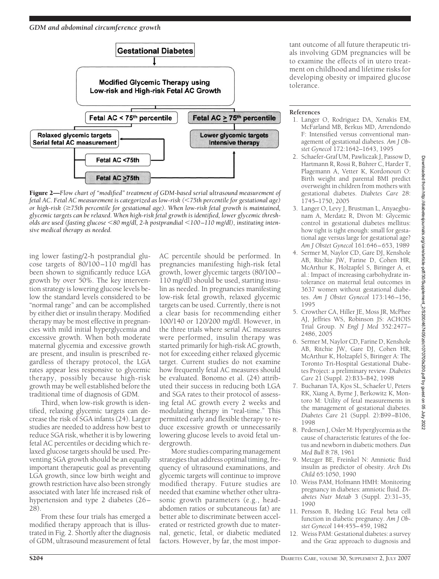

Figure 2—*Flow chart of "modified" treatment of GDM-based serial ultrasound measurement of fetal AC. Fetal AC measurement is categorized as low-risk (75th percentile for gestational age) or high-risk (75th percentile for gestational age). When low-risk fetal growth is maintained, glycemic targets can be relaxed. When high-risk fetal growth is identified, lower glycemic thresholds are used (fasting glucose 80 mg/dl, 2-h postprandial 100–110 mg/dl), instituting intensive medical therapy as needed.*

ing lower fasting/2-h postprandial glucose targets of 80/100–110 mg/dl has been shown to significantly reduce LGA growth by over 50%. The key intervention strategy is lowering glucose levels below the standard levels considered to be "normal range" and can be accomplished by either diet or insulin therapy. Modified therapy may be most effective in pregnancies with mild initial hyperglycemia and excessive growth. When both moderate maternal glycemia and excessive growth are present, and insulin is prescribed regardless of therapy protocol, the LGA rates appear less responsive to glycemic therapy, possibly because high-risk growth may be well established before the traditional time of diagnosis of GDM.

Third, when low-risk growth is identified, relaxing glycemic targets can decrease the risk of SGA infants (24). Larger studies are needed to address how best to reduce SGA risk, whether it is by lowering fetal AC percentiles or deciding which relaxed glucose targets should be used. Preventing SGA growth should be an equally important therapeutic goal as preventing LGA growth, since low birth weight and growth restriction have also been strongly associated with later life increased risk of hypertension and type 2 diabetes (26– 28).

From these four trials has emerged a modified therapy approach that is illustrated in Fig. 2. Shortly after the diagnosis of GDM, ultrasound measurement of fetal

AC percentile should be performed. In pregnancies manifesting high-risk fetal growth, lower glycemic targets (80/100– 110 mg/dl) should be used, starting insulin as needed. In pregnancies manifesting low-risk fetal growth, relaxed glycemic targets can be used. Currently, there is not a clear basis for recommending either 100/140 or 120/200 mg/dl. However, in the three trials where serial AC measures were performed, insulin therapy was started primarily for high-risk AC growth, not for exceeding either relaxed glycemic target. Current studies do not examine how frequently fetal AC measures should be evaluated. Bonomo et al. (24) attributed their success in reducing both LGA and SGA rates to their protocol of assessing fetal AC growth every 2 weeks and modulating therapy in "real-time." This permitted early and flexible therapy to reduce excessive growth or unnecessarily lowering glucose levels to avoid fetal undergrowth.

More studies comparing management strategies that address optimal timing, frequency of ultrasound examinations, and glycemic targets will continue to improve modified therapy. Future studies are needed that examine whether other ultrasonic growth parameters (e.g., headabdomen ratios or subcutaneous fat) are better able to discriminate between accelerated or restricted growth due to maternal, genetic, fetal, or diabetic mediated factors. However, by far, the most important outcome of all future therapeutic trials involving GDM pregnancies will be to examine the effects of in utero treatment on childhood and lifetime risks for developing obesity or impaired glucose tolerance.

### **References**

- 1. Langer O, Rodriguez DA, Xenakis EM, McFarland MB, Berkus MD, Arrendondo F: Intensified versus conventional management of gestational diabetes. *Am J Obstet Gynecol* 172:1642–1643, 1995
- 2. Schaefer-Graf UM, Pawliczak J, Passow D, Hartmann R, Rossi R, Bührer C, Harder T, Plagemann A, Vetter K, Kordonouri O: Birth weight and parental BMI predict overweight in children from mothers with gestational diabetes. *Diabetes Care* 28: 1745–1750, 2005
- 3. Langer O, Levy J, Brustman L, Anyaegbunam A, Merdatz R, Divon M: Glycemic control in gestational diabetes mellitus: how tight is tight enough: small for gestational age versus large for gestational age? *Am J Obstet Gynecol* 161:646–653, 1989
- 4. Sermer M, Naylor CD, Gare DJ, Kenshole AB, Ritchie JW, Farine D, Cohen HR, McArthur K, Holzapfel S, Biringer A, et al.: Impact of increasing carbohydrate intolerance on maternal fetal outcomes in 3637 women without gestational diabetes. *Am J Obstet Gynecol* 173:146–156, 1995
- 5. Crowther CA, Hiller JE, Moss JR, McPhee AJ, Jeffries WS, Robinson JS: ACHOIS Trial Group. *N Engl J Med* 352:2477– 2486, 2005
- 6. Sermer M, Naylor CD, Farine D, Kenshole AB, Ritchie JW, Gare DJ, Cohen HR, McArthur K, Holzapfel S, Biringer A: The Toronto Tri-Hospital Gestational Diabetes Project: a preliminary review. *Diabetes Care* 21 (Suppl. 2):B33–B42, 1998
- 7. Buchanan TA, Kjos SL, Schaefer U, Peters RK, Xiang A, Byrne J, Berkowitz K, Montoro M: Utility of fetal measurements in the management of gestational diabetes. *Diabetes Care* 21 (Suppl. 2):B99–B106, 1998
- 8. Pedersen J, Osler M: Hyperglycemia as the cause of characteristic features of the foetus and newborn in diabetic mothers. *Dan Med Bull* 8:78, 1961
- 9. Metzger BE, Freinkel N: Amniotic fluid insulin as predictor of obesity. *Arch Dis Child* 65:1050, 1990
- 10. Weiss PAM, Hofmann HMH: Monitoring pregnancy in diabetes: amniotic fluid. *Diabetes Nutr Metab* 3 (Suppl. 2):31–35, 1990
- 11. Persson B, Heding LG: Fetal beta cell function in diabetic pregnancy. *Am J Obstet Gynecol* 144:455–459, 1982
- 12. Weiss PAM: Gestational diabetes: a survey and the Graz approach to diagnosis and